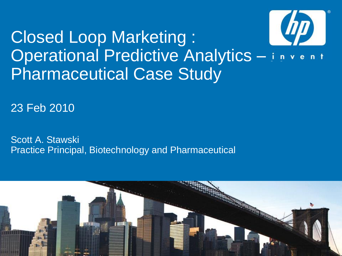# Closed Loop Marketing : Operational Predictive Analytics - invent Pharmaceutical Case Study

23 Feb 2010

Scott A. Stawski Practice Principal, Biotechnology and Pharmaceutical

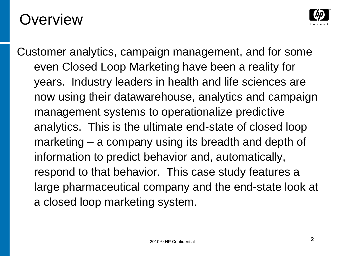### **Overview**



Customer analytics, campaign management, and for some even Closed Loop Marketing have been a reality for years. Industry leaders in health and life sciences are now using their datawarehouse, analytics and campaign management systems to operationalize predictive analytics. This is the ultimate end-state of closed loop marketing – a company using its breadth and depth of information to predict behavior and, automatically, respond to that behavior. This case study features a large pharmaceutical company and the end-state look at a closed loop marketing system.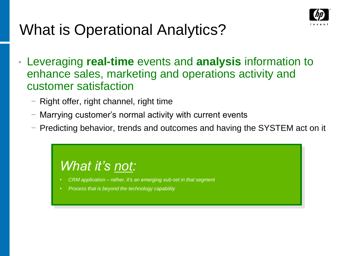

### What is Operational Analytics?

- Leveraging **real-time** events and **analysis** information to enhance sales, marketing and operations activity and customer satisfaction
	- − Right offer, right channel, right time
	- Marrying customer's normal activity with current events
	- − Predicting behavior, trends and outcomes and having the SYSTEM act on it

#### *What it's not:*

- *CRM application – rather, it's an emerging sub-set in that segment*
- *Process that is beyond the technology capability*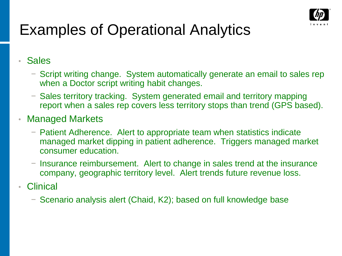

### Examples of Operational Analytics

• Sales

- − Script writing change. System automatically generate an email to sales rep when a Doctor script writing habit changes.
- − Sales territory tracking. System generated email and territory mapping report when a sales rep covers less territory stops than trend (GPS based).

#### • Managed Markets

- − Patient Adherence. Alert to appropriate team when statistics indicate managed market dipping in patient adherence. Triggers managed market consumer education.
- − Insurance reimbursement. Alert to change in sales trend at the insurance company, geographic territory level. Alert trends future revenue loss.
- **Clinical** 
	- − Scenario analysis alert (Chaid, K2); based on full knowledge base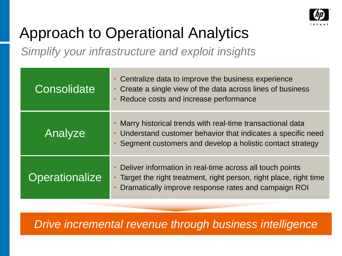

### Approach to Operational Analytics

*Simplify your infrastructure and exploit insights*

| Consolidate           | • Centralize data to improve the business experience<br>• Create a single view of the data across lines of business<br>Reduce costs and increase performance                              |
|-----------------------|-------------------------------------------------------------------------------------------------------------------------------------------------------------------------------------------|
| Analyze               | Marry historical trends with real-time transactional data<br>• Understand customer behavior that indicates a specific need<br>• Segment customers and develop a holistic contact strategy |
| <b>Operationalize</b> | Deliver information in real-time across all touch points<br>Target the right treatment, right person, right place, right time<br>Dramatically improve response rates and campaign ROI     |

*Drive incremental revenue through business intelligence*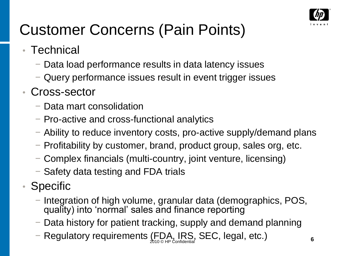

### Customer Concerns (Pain Points)

- Technical
	- − Data load performance results in data latency issues
	- − Query performance issues result in event trigger issues
- Cross-sector
	- − Data mart consolidation
	- − Pro-active and cross-functional analytics
	- − Ability to reduce inventory costs, pro-active supply/demand plans
	- − Profitability by customer, brand, product group, sales org, etc.
	- − Complex financials (multi-country, joint venture, licensing)
	- − Safety data testing and FDA trials
- Specific
	- − Integration of high volume, granular data (demographics, POS, quality) into 'normal' sales and finance reporting
	- − Data history for patient tracking, supply and demand planning
	- $-$  Regulatory requirements (FDA, IRS, SEC, legal, etc.) 6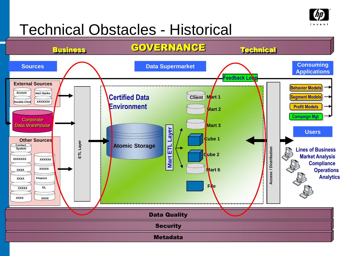

#### Technical Obstacles - Historical

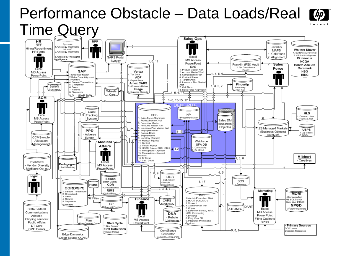#### Performance Obstacle – Data Loads/Real M Time Query**Sales Ops**

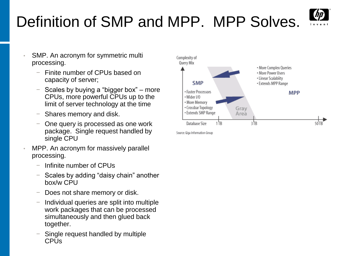# Definition of SMP and MPP. MPP Solves.



- SMP. An acronym for symmetric multi processing.
	- Finite number of CPUs based on capacity of server;
	- − Scales by buying a "bigger box" more CPUs, more powerful CPUs up to the limit of server technology at the time
	- Shares memory and disk.
	- One query is processed as one work package. Single request handled by single CPU
- MPP. An acronym for massively parallel processing.
	- − Infinite number of CPUs
	- Scales by adding "daisy chain" another box/w CPU
	- Does not share memory or disk.
	- − Individual queries are split into multiple work packages that can be processed simultaneously and then glued back together.
	- Single request handled by multiple **CPU<sub>s</sub>**



Source: Giga Information Group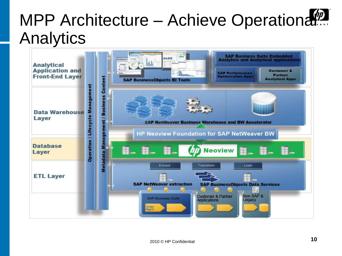# MPP Architecture – Achieve Operational Analytics

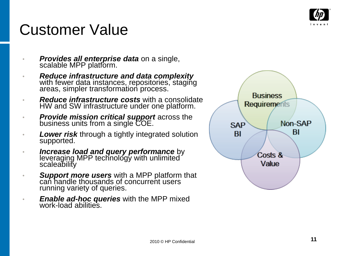

### Customer Value

- *Provides all enterprise data* on a single, scalable MPP platform.
- *Reduce infrastructure and data complexity* with fewer data instances, repositories, staging areas, simpler transformation process.
- *Reduce infrastructure costs* with a consolidate HW and SW infrastructure under one platform.
- *Provide mission critical support* across the business units from a single COE.
- **Lower risk** through a tightly integrated solution supported.
- *Increase load and query performance* by leveraging MPP technology with unlimited scaleability
- *Support more users* with a MPP platform that can handle thousands of concurrent users running variety of queries.
- *Enable ad-hoc queries* with the MPP mixed work -load abilities.

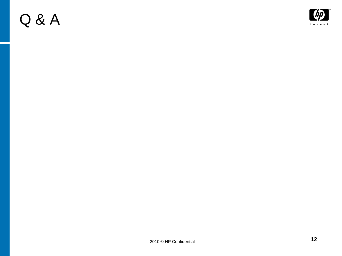### Q & A

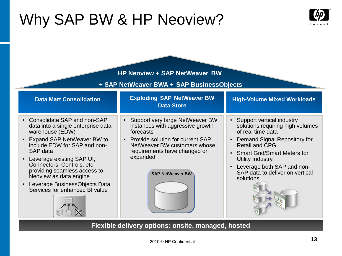### Why SAP BW & HP Neoview?



| <b>HP Neoview + SAP NetWeaver BW</b><br>+ SAP NetWeaver BWA + SAP BusinessObjects                                                                                                                                                                                                                                                                                                                          |                                                                                                                                                                                                                                 |                                                                                                                                                                                                                                                                                |  |  |  |
|------------------------------------------------------------------------------------------------------------------------------------------------------------------------------------------------------------------------------------------------------------------------------------------------------------------------------------------------------------------------------------------------------------|---------------------------------------------------------------------------------------------------------------------------------------------------------------------------------------------------------------------------------|--------------------------------------------------------------------------------------------------------------------------------------------------------------------------------------------------------------------------------------------------------------------------------|--|--|--|
| <b>Data Mart Consolidation</b>                                                                                                                                                                                                                                                                                                                                                                             | <b>Exploding SAP NetWeaver BW</b><br><b>Data Store</b>                                                                                                                                                                          | <b>High-Volume Mixed Workloads</b>                                                                                                                                                                                                                                             |  |  |  |
| Consolidate SAP and non-SAP<br>$\bullet$<br>data into a single enterprise data<br>warehouse (EDW)<br>Expand SAP NetWeaver BW to<br>$\bullet$<br>include EDW for SAP and non-<br>SAP data<br>Leverage existing SAP UI,<br>$\bullet$<br>Connectors, Controls, etc.<br>providing seamless access to<br>Neoview as data engine<br>Leverage BusinessObjects Data<br>$\bullet$<br>Services for enhanced BI value | • Support very large NetWeaver BW<br>instances with aggressive growth<br>forecasts<br>• Provide solution for current SAP<br>NetWeaver BW customers whose<br>requirements have changed or<br>expanded<br><b>SAP NetWeaver BW</b> | • Support vertical industry<br>solutions requiring high volumes<br>of real time data<br>Demand Signal Repository for<br>Retail and CPG<br><b>Smart Grid/Smart Meters for</b><br>Utility Industry<br>Leverage both SAP and non-<br>SAP data to deliver on vertical<br>solutions |  |  |  |

**Flexible delivery options: onsite, managed, hosted**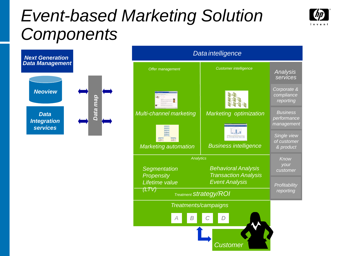# *Event-based Marketing Solution Components*





| Data intelligence                      |                                                           |                                              |  |  |
|----------------------------------------|-----------------------------------------------------------|----------------------------------------------|--|--|
| Offer management                       | <b>Customer intelligence</b>                              | Analysis<br>services                         |  |  |
|                                        |                                                           | Corporate &<br>compliance<br>reporting       |  |  |
| Multi-channel marketing                | Marketing optimization                                    | <b>Business</b><br>performance<br>management |  |  |
| <b>Marketing automation</b>            | miniten<br><b>Business intelligence</b>                   | Single view<br>of customer<br>& product      |  |  |
| Analytics                              | Know                                                      |                                              |  |  |
| Segmentation<br><b>Propensity</b>      | <b>Behavioral Analysis</b><br><b>Transaction Analysis</b> | your<br>customer                             |  |  |
| Lifetime value                         | <b>Event Analysis</b>                                     | Profitability                                |  |  |
| (LTV)<br><b>Treatment Strategy/ROI</b> | reporting                                                 |                                              |  |  |
| Treatments/campaigns                   |                                                           |                                              |  |  |
| B                                      |                                                           |                                              |  |  |
|                                        | Custome.                                                  |                                              |  |  |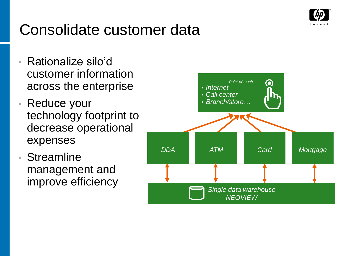

### Consolidate customer data

- Rationalize silo'd customer information across the enterprise
- Reduce your technology footprint to decrease operational expenses
- **Streamline** management and improve efficiency

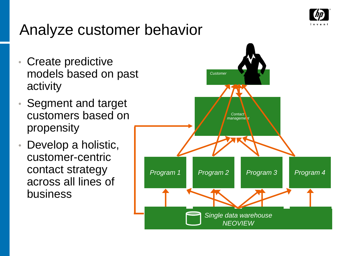

### Analyze customer behavior

- Create predictive models based on past activity
- Segment and target customers based on propensity
- Develop a holistic, customer-centric contact strategy across all lines of business

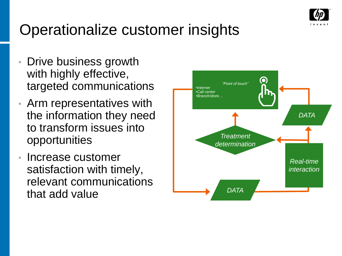

### Operationalize customer insights

- Drive business growth with highly effective, targeted communications
- Arm representatives with the information they need to transform issues into opportunities
- Increase customer satisfaction with timely, relevant communications that add value